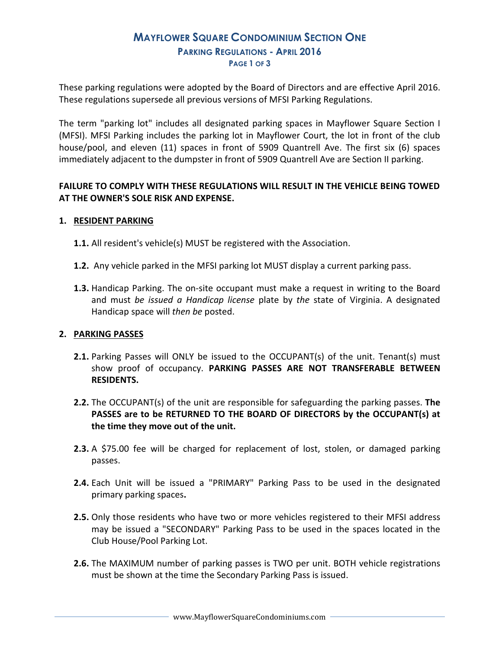## **MAYFLOWER SQUARE CONDOMINIUM SECTION ONE PARKING REGULATIONS - APRIL 2016 PAGE 1 OF 3**

These parking regulations were adopted by the Board of Directors and are effective April 2016. These regulations supersede all previous versions of MFSI Parking Regulations.

The term "parking lot" includes all designated parking spaces in Mayflower Square Section I (MFSI). MFSI Parking includes the parking lot in Mayflower Court, the lot in front of the club house/pool, and eleven (11) spaces in front of 5909 Quantrell Ave. The first six (6) spaces immediately adjacent to the dumpster in front of 5909 Quantrell Ave are Section II parking.

### **FAILURE TO COMPLY WITH THESE REGULATIONS WILL RESULT IN THE VEHICLE BEING TOWED AT THE OWNER'S SOLE RISK AND EXPENSE.**

#### **1. RESIDENT PARKING**

- **1.1.** All resident's vehicle(s) MUST be registered with the Association.
- **1.2.** Any vehicle parked in the MFSI parking lot MUST display a current parking pass.
- **1.3.** Handicap Parking. The on-site occupant must make a request in writing to the Board and must *be issued a Handicap license* plate by *the* state of Virginia. A designated Handicap space will *then be* posted.

#### **2. PARKING PASSES**

- **2.1.** Parking Passes will ONLY be issued to the OCCUPANT(s) of the unit. Tenant(s) must show proof of occupancy. **PARKING PASSES ARE NOT TRANSFERABLE BETWEEN RESIDENTS.**
- **2.2.** The OCCUPANT(s) of the unit are responsible for safeguarding the parking passes. **The PASSES are to be RETURNED TO THE BOARD OF DIRECTORS by the OCCUPANT(s) at the time they move out of the unit.**
- **2.3.** A \$75.00 fee will be charged for replacement of lost, stolen, or damaged parking passes.
- **2.4.** Each Unit will be issued a "PRIMARY" Parking Pass to be used in the designated primary parking spaces**.**
- **2.5.** Only those residents who have two or more vehicles registered to their MFSI address may be issued a "SECONDARY" Parking Pass to be used in the spaces located in the Club House/Pool Parking Lot.
- **2.6.** The MAXIMUM number of parking passes is TWO per unit. BOTH vehicle registrations must be shown at the time the Secondary Parking Pass is issued.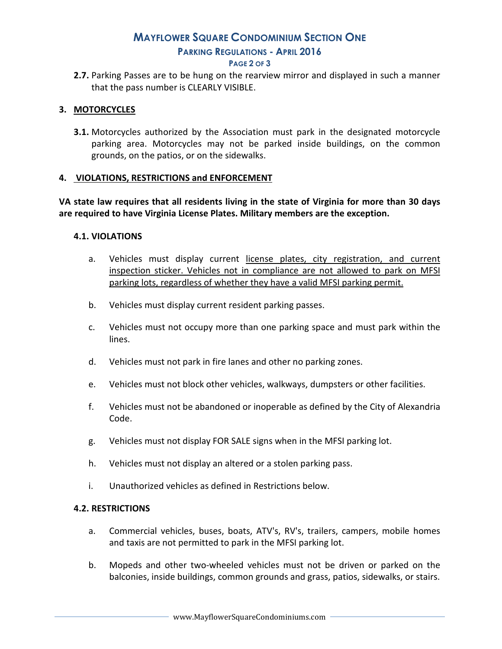# **MAYFLOWER SQUARE CONDOMINIUM SECTION ONE PARKING REGULATIONS - APRIL 2016**

#### **PAGE 2 OF 3**

**2.7.** Parking Passes are to be hung on the rearview mirror and displayed in such a manner that the pass number is CLEARLY VISIBLE.

#### **3. MOTORCYCLES**

**3.1.** Motorcycles authorized by the Association must park in the designated motorcycle parking area. Motorcycles may not be parked inside buildings, on the common grounds, on the patios, or on the sidewalks.

#### **4. VIOLATIONS, RESTRICTIONS and ENFORCEMENT**

**VA state law requires that all residents living in the state of Virginia for more than 30 days are required to have Virginia License Plates. Military members are the exception.** 

#### **4.1. VIOLATIONS**

- a. Vehicles must display current license plates, city registration, and current inspection sticker. Vehicles not in compliance are not allowed to park on MFSI parking lots, regardless of whether they have a valid MFSI parking permit.
- b. Vehicles must display current resident parking passes.
- c. Vehicles must not occupy more than one parking space and must park within the lines.
- d. Vehicles must not park in fire lanes and other no parking zones.
- e. Vehicles must not block other vehicles, walkways, dumpsters or other facilities.
- f. Vehicles must not be abandoned or inoperable as defined by the City of Alexandria Code.
- g. Vehicles must not display FOR SALE signs when in the MFSI parking lot.
- h. Vehicles must not display an altered or a stolen parking pass.
- i. Unauthorized vehicles as defined in Restrictions below.

#### **4.2. RESTRICTIONS**

- a. Commercial vehicles, buses, boats, ATV's, RV's, trailers, campers, mobile homes and taxis are not permitted to park in the MFSI parking lot.
- b. Mopeds and other two-wheeled vehicles must not be driven or parked on the balconies, inside buildings, common grounds and grass, patios, sidewalks, or stairs.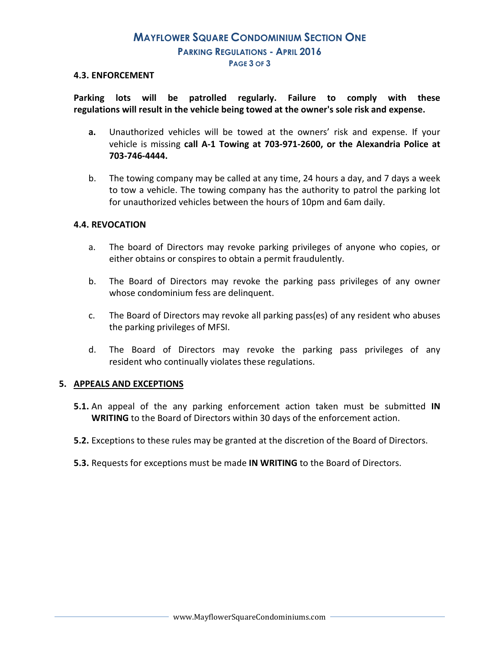# **MAYFLOWER SQUARE CONDOMINIUM SECTION ONE PARKING REGULATIONS - APRIL 2016 PAGE 3 OF 3**

#### **4.3. ENFORCEMENT**

**Parking lots will be patrolled regularly. Failure to comply with these regulations will result in the vehicle being towed at the owner's sole risk and expense.** 

- **a.** Unauthorized vehicles will be towed at the owners' risk and expense. If your vehicle is missing **call A-1 Towing at 703-971-2600, or the Alexandria Police at 703-746-4444.**
- b. The towing company may be called at any time, 24 hours a day, and 7 days a week to tow a vehicle. The towing company has the authority to patrol the parking lot for unauthorized vehicles between the hours of 10pm and 6am daily.

#### **4.4. REVOCATION**

- a. The board of Directors may revoke parking privileges of anyone who copies, or either obtains or conspires to obtain a permit fraudulently.
- b. The Board of Directors may revoke the parking pass privileges of any owner whose condominium fess are delinquent.
- c. The Board of Directors may revoke all parking pass(es) of any resident who abuses the parking privileges of MFSI.
- d. The Board of Directors may revoke the parking pass privileges of any resident who continually violates these regulations.

#### **5. APPEALS AND EXCEPTIONS**

- **5.1.** An appeal of the any parking enforcement action taken must be submitted **IN WRITING** to the Board of Directors within 30 days of the enforcement action.
- **5.2.** Exceptions to these rules may be granted at the discretion of the Board of Directors.
- **5.3.** Requests for exceptions must be made **IN WRITING** to the Board of Directors.